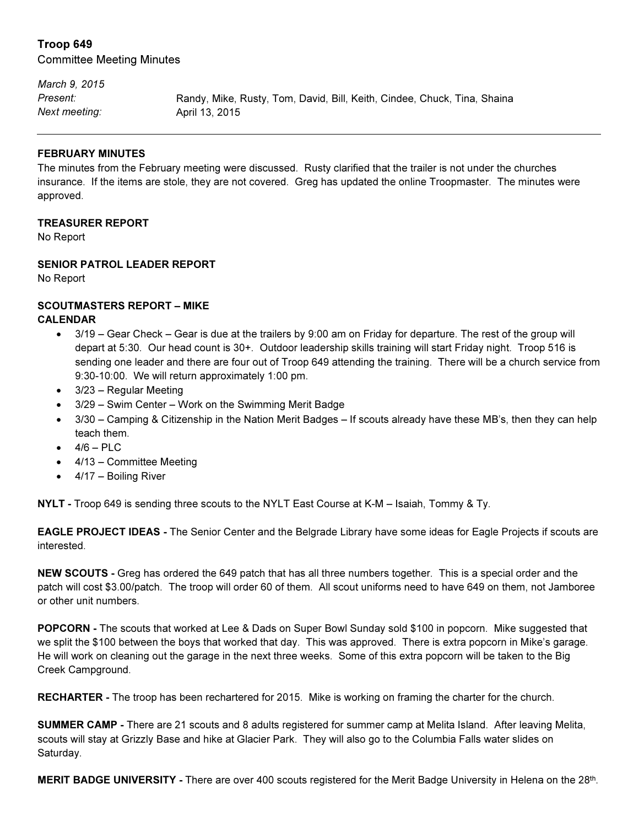# Troop 649

Committee Meeting Minutes

March 9, 2015 Present: Randy, Mike, Rusty, Tom, David, Bill, Keith, Cindee, Chuck, Tina, Shaina Next meeting: April 13, 2015

#### FEBRUARY MINUTES

The minutes from the February meeting were discussed. Rusty clarified that the trailer is not under the churches insurance. If the items are stole, they are not covered. Greg has updated the online Troopmaster. The minutes were approved.

#### TREASURER REPORT

No Report

## SENIOR PATROL LEADER REPORT

No Report

# SCOUTMASTERS REPORT – MIKE

## CALENDAR

- 3/19 Gear Check Gear is due at the trailers by 9:00 am on Friday for departure. The rest of the group will depart at 5:30. Our head count is 30+. Outdoor leadership skills training will start Friday night. Troop 516 is sending one leader and there are four out of Troop 649 attending the training. There will be a church service from 9:30-10:00. We will return approximately 1:00 pm.
- 3/23 Regular Meeting
- 3/29 Swim Center Work on the Swimming Merit Badge
- 3/30 Camping & Citizenship in the Nation Merit Badges If scouts already have these MB's, then they can help teach them.
- $4/6 P LC$
- 4/13 Committee Meeting
- 4/17 Boiling River

NYLT - Troop 649 is sending three scouts to the NYLT East Course at K-M – Isaiah, Tommy & Ty.

EAGLE PROJECT IDEAS - The Senior Center and the Belgrade Library have some ideas for Eagle Projects if scouts are interested.

NEW SCOUTS - Greg has ordered the 649 patch that has all three numbers together. This is a special order and the patch will cost \$3.00/patch. The troop will order 60 of them. All scout uniforms need to have 649 on them, not Jamboree or other unit numbers.

POPCORN - The scouts that worked at Lee & Dads on Super Bowl Sunday sold \$100 in popcorn. Mike suggested that we split the \$100 between the boys that worked that day. This was approved. There is extra popcorn in Mike's garage. He will work on cleaning out the garage in the next three weeks. Some of this extra popcorn will be taken to the Big Creek Campground.

RECHARTER - The troop has been rechartered for 2015. Mike is working on framing the charter for the church.

SUMMER CAMP - There are 21 scouts and 8 adults registered for summer camp at Melita Island. After leaving Melita, scouts will stay at Grizzly Base and hike at Glacier Park. They will also go to the Columbia Falls water slides on Saturday.

MERIT BADGE UNIVERSITY - There are over 400 scouts registered for the Merit Badge University in Helena on the 28<sup>th</sup>.